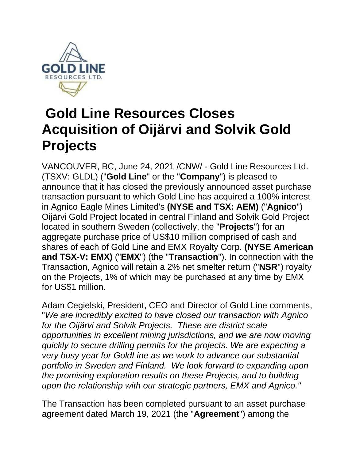

# **Gold Line Resources Closes Acquisition of Oijärvi and Solvik Gold Projects**

VANCOUVER, BC, June 24, 2021 /CNW/ - Gold Line Resources Ltd. (TSXV: GLDL) ("**Gold Line**" or the "**Company**") is pleased to announce that it has closed the previously announced asset purchase transaction pursuant to which Gold Line has acquired a 100% interest in Agnico Eagle Mines Limited's **(NYSE and TSX: AEM)** ("**Agnico**") Oijärvi Gold Project located in central Finland and Solvik Gold Project located in southern Sweden (collectively, the "**Projects**") for an aggregate purchase price of US\$10 million comprised of cash and shares of each of Gold Line and EMX Royalty Corp. **(NYSE American and TSX-V: EMX)** ("**EMX**") (the "**Transaction**"). In connection with the Transaction, Agnico will retain a 2% net smelter return ("**NSR**") royalty on the Projects, 1% of which may be purchased at any time by EMX for US\$1 million.

Adam Cegielski, President, CEO and Director of Gold Line comments, "*We are incredibly excited to have closed our transaction with Agnico for the Oijärvi and Solvik Projects. These are district scale opportunities in excellent mining jurisdictions, and we are now moving quickly to secure drilling permits for the projects. We are expecting a very busy year for GoldLine as we work to advance our substantial portfolio in Sweden and Finland. We look forward to expanding upon the promising exploration results on these Projects, and to building upon the relationship with our strategic partners, EMX and Agnico."*

The Transaction has been completed pursuant to an asset purchase agreement dated March 19, 2021 (the "**Agreement**") among the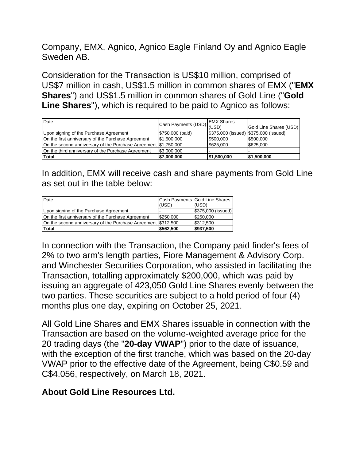Company, EMX, Agnico, Agnico Eagle Finland Oy and Agnico Eagle Sweden AB.

Consideration for the Transaction is US\$10 million, comprised of US\$7 million in cash, US\$1.5 million in common shares of EMX ("**EMX Shares**") and US\$1.5 million in common shares of Gold Line ("**Gold Line Shares**"), which is required to be paid to Agnico as follows:

| Date                                                            | Cash Payments (USD) | <b>EMX Shares</b>                     |                        |
|-----------------------------------------------------------------|---------------------|---------------------------------------|------------------------|
|                                                                 |                     | 'I (USD)                              | Gold Line Shares (USD) |
| Upon signing of the Purchase Agreement                          | \$750,000 (paid)    | \$375,000 (issued) \$375,000 (issued) |                        |
| On the first anniversary of the Purchase Agreement              | \$1,500,000         | \$500,000                             | \$500,000              |
| On the second anniversary of the Purchase Agreement \$1,750,000 |                     | \$625,000                             | \$625,000              |
| On the third anniversary of the Purchase Agreement              | \$3,000,000         |                                       |                        |
| Total                                                           | 57,000,000          | \$1,500,000                           | \$1,500,000            |

In addition, EMX will receive cash and share payments from Gold Line as set out in the table below:

| Date                                                          | (USD)     | Cash Payments Gold Line Shares<br>(USD) |
|---------------------------------------------------------------|-----------|-----------------------------------------|
| Upon signing of the Purchase Agreement                        |           | \$375,000 (issued)                      |
| On the first anniversary of the Purchase Agreement            | \$250,000 | \$250,000                               |
| On the second anniversary of the Purchase Agreement \$312,500 |           | \$312,500                               |
| <b>Total</b>                                                  | \$562.500 | \$937,500                               |

In connection with the Transaction, the Company paid finder's fees of 2% to two arm's length parties, Fiore Management & Advisory Corp. and Winchester Securities Corporation, who assisted in facilitating the Transaction, totalling approximately \$200,000, which was paid by issuing an aggregate of 423,050 Gold Line Shares evenly between the two parties. These securities are subject to a hold period of four (4) months plus one day, expiring on October 25, 2021.

All Gold Line Shares and EMX Shares issuable in connection with the Transaction are based on the volume-weighted average price for the 20 trading days (the "**20-day VWAP**") prior to the date of issuance, with the exception of the first tranche, which was based on the 20-day VWAP prior to the effective date of the Agreement, being C\$0.59 and C\$4.056, respectively, on March 18, 2021.

## **About Gold Line Resources Ltd.**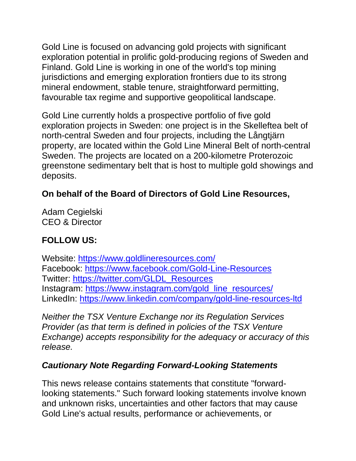Gold Line is focused on advancing gold projects with significant exploration potential in prolific gold-producing regions of Sweden and Finland. Gold Line is working in one of the world's top mining jurisdictions and emerging exploration frontiers due to its strong mineral endowment, stable tenure, straightforward permitting, favourable tax regime and supportive geopolitical landscape.

Gold Line currently holds a prospective portfolio of five gold exploration projects in Sweden: one project is in the Skelleftea belt of north-central Sweden and four projects, including the Långtjärn property, are located within the Gold Line Mineral Belt of north-central Sweden. The projects are located on a 200-kilometre Proterozoic greenstone sedimentary belt that is host to multiple gold showings and deposits.

## **On behalf of the Board of Directors of Gold Line Resources,**

Adam Cegielski CEO & Director

## **FOLLOW US:**

Website:<https://www.goldlineresources.com/> Facebook:<https://www.facebook.com/Gold-Line-Resources> Twitter: [https://twitter.com/GLDL\\_Resources](https://twitter.com/GLDL_Resources) Instagram: [https://www.instagram.com/gold\\_line\\_resources/](https://www.instagram.com/gold_line_resources/) LinkedIn: <https://www.linkedin.com/company/gold-line-resources-ltd>

*Neither the TSX Venture Exchange nor its Regulation Services Provider (as that term is defined in policies of the TSX Venture Exchange) accepts responsibility for the adequacy or accuracy of this release.*

## *Cautionary Note Regarding Forward-Looking Statements*

This news release contains statements that constitute "forwardlooking statements." Such forward looking statements involve known and unknown risks, uncertainties and other factors that may cause Gold Line's actual results, performance or achievements, or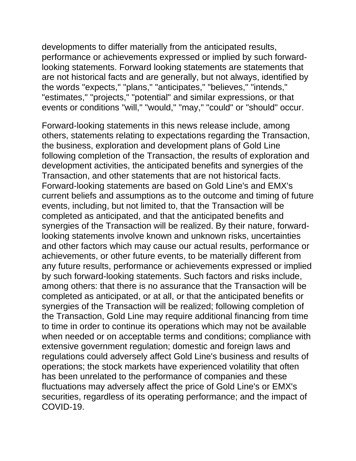developments to differ materially from the anticipated results, performance or achievements expressed or implied by such forwardlooking statements. Forward looking statements are statements that are not historical facts and are generally, but not always, identified by the words "expects," "plans," "anticipates," "believes," "intends," "estimates," "projects," "potential" and similar expressions, or that events or conditions "will," "would," "may," "could" or "should" occur.

Forward-looking statements in this news release include, among others, statements relating to expectations regarding the Transaction, the business, exploration and development plans of Gold Line following completion of the Transaction, the results of exploration and development activities, the anticipated benefits and synergies of the Transaction, and other statements that are not historical facts. Forward-looking statements are based on Gold Line's and EMX's current beliefs and assumptions as to the outcome and timing of future events, including, but not limited to, that the Transaction will be completed as anticipated, and that the anticipated benefits and synergies of the Transaction will be realized. By their nature, forwardlooking statements involve known and unknown risks, uncertainties and other factors which may cause our actual results, performance or achievements, or other future events, to be materially different from any future results, performance or achievements expressed or implied by such forward-looking statements. Such factors and risks include, among others: that there is no assurance that the Transaction will be completed as anticipated, or at all, or that the anticipated benefits or synergies of the Transaction will be realized; following completion of the Transaction, Gold Line may require additional financing from time to time in order to continue its operations which may not be available when needed or on acceptable terms and conditions; compliance with extensive government regulation; domestic and foreign laws and regulations could adversely affect Gold Line's business and results of operations; the stock markets have experienced volatility that often has been unrelated to the performance of companies and these fluctuations may adversely affect the price of Gold Line's or EMX's securities, regardless of its operating performance; and the impact of COVID-19.